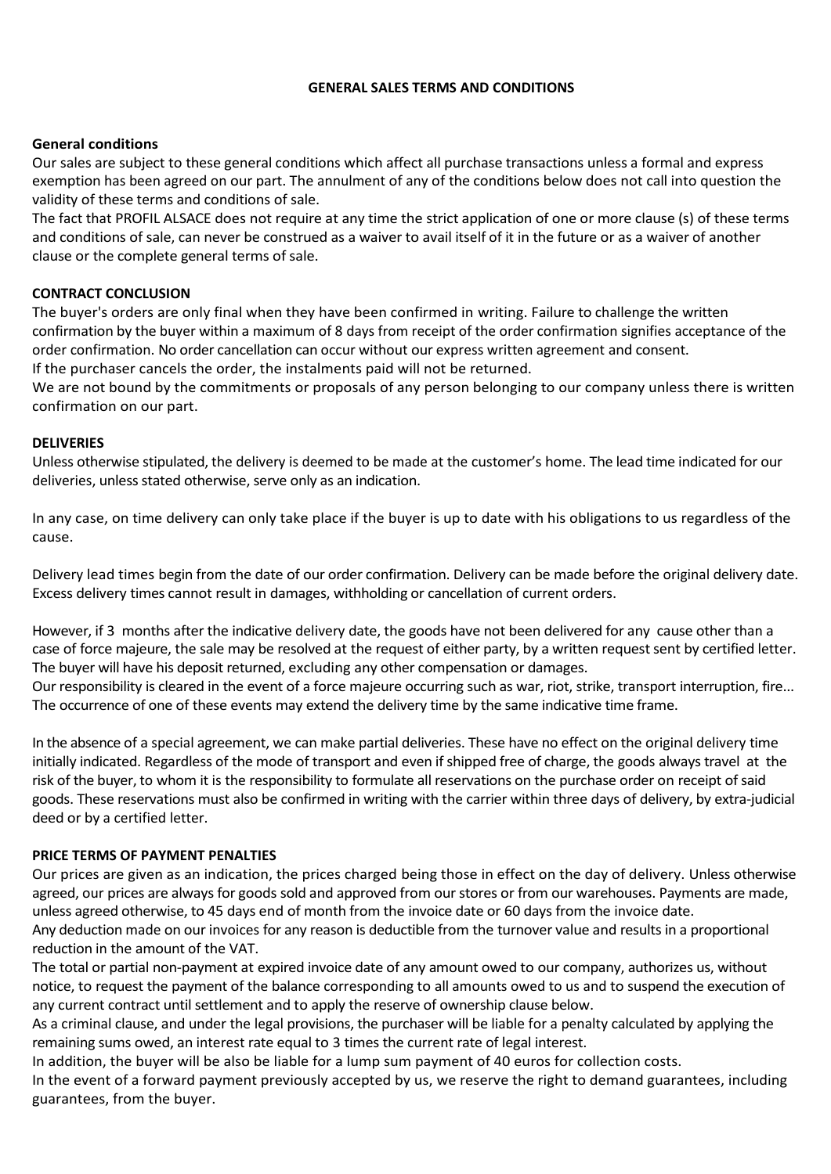### **GENERAL SALES TERMS AND CONDITIONS**

# **General conditions**

Our sales are subject to these general conditions which affect all purchase transactions unless a formal and express exemption has been agreed on our part. The annulment of any of the conditions below does not call into question the validity of these terms and conditions of sale.

The fact that PROFIL ALSACE does not require at any time the strict application of one or more clause (s) of these terms and conditions of sale, can never be construed as a waiver to avail itself of it in the future or as a waiver of another clause or the complete general terms of sale.

# **CONTRACT CONCLUSION**

The buyer's orders are only final when they have been confirmed in writing. Failure to challenge the written confirmation by the buyer within a maximum of 8 days from receipt of the order confirmation signifies acceptance of the order confirmation. No order cancellation can occur without our express written agreement and consent. If the purchaser cancels the order, the instalments paid will not be returned.

We are not bound by the commitments or proposals of any person belonging to our company unless there is written confirmation on our part.

# **DELIVERIES**

Unless otherwise stipulated, the delivery is deemed to be made at the customer's home. The lead time indicated for our deliveries, unless stated otherwise, serve only as an indication.

In any case, on time delivery can only take place if the buyer is up to date with his obligations to us regardless of the cause.

Delivery lead times begin from the date of our order confirmation. Delivery can be made before the original delivery date. Excess delivery times cannot result in damages, withholding or cancellation of current orders.

However, if 3 months after the indicative delivery date, the goods have not been delivered for any cause other than a case of force majeure, the sale may be resolved at the request of either party, by a written request sent by certified letter. The buyer will have his deposit returned, excluding any other compensation or damages.

Our responsibility is cleared in the event of a force majeure occurring such as war, riot, strike, transport interruption, fire... The occurrence of one of these events may extend the delivery time by the same indicative time frame.

In the absence of a special agreement, we can make partial deliveries. These have no effect on the original delivery time initially indicated. Regardless of the mode of transport and even if shipped free of charge, the goods always travel at the risk of the buyer, to whom it is the responsibility to formulate all reservations on the purchase order on receipt ofsaid goods. These reservations must also be confirmed in writing with the carrier within three days of delivery, by extra-judicial deed or by a certified letter.

### **PRICE TERMS OF PAYMENT PENALTIES**

Our prices are given as an indication, the prices charged being those in effect on the day of delivery. Unless otherwise agreed, our prices are always for goods sold and approved from our stores or from our warehouses. Payments are made, unless agreed otherwise, to 45 days end of month from the invoice date or 60 days from the invoice date.

Any deduction made on our invoices for any reason is deductible from the turnover value and results in a proportional reduction in the amount of the VAT.

The total or partial non-payment at expired invoice date of any amount owed to our company, authorizes us, without notice, to request the payment of the balance corresponding to all amounts owed to us and to suspend the execution of any current contract until settlement and to apply the reserve of ownership clause below.

As a criminal clause, and under the legal provisions, the purchaser will be liable for a penalty calculated by applying the remaining sums owed, an interest rate equal to 3 times the current rate of legal interest.

In addition, the buyer will be also be liable for a lump sum payment of 40 euros for collection costs.

In the event of a forward payment previously accepted by us, we reserve the right to demand guarantees, including guarantees, from the buyer.